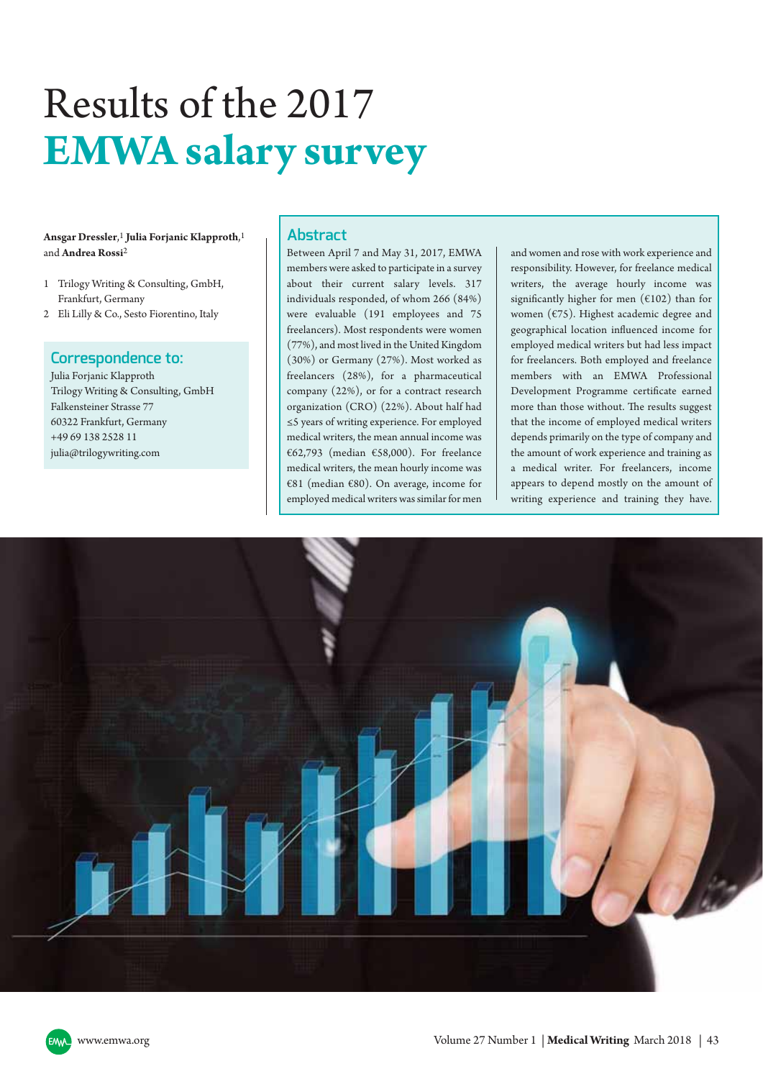# Results of the 2017 **EMWA salary survey**

## **Ansgar Dressler**, 1 **Julia Forjanic Klapproth**, 1 and **Andrea Rossi**2

- 1 Trilogy Writing & Consulting, GmbH, Frankfurt, Germany
- 2 Eli Lilly & Co., Sesto Fiorentino, Italy

# **Correspondence to:**

Julia Forjanic Klapproth Trilogy Writing & Consulting, GmbH Falkensteiner Strasse 77 60322 Frankfurt, Germany +49 69 138 2528 11 julia@trilogywriting.com

# **Abstract**

Between April 7 and May 31, 2017, EMWA members were asked to participate in a survey about their current salary levels. 317 individuals responded, of whom 266 (84%) were evaluable (191 employees and 75 freelancers). Most respondents were women (77%), and most lived in the United Kingdom (30%) or Germany (27%). Most worked as freelancers (28%), for a pharmaceutical company (22%), or for a contract research organization (CRO) (22%). About half had ≤5 years of writing experience. For employed medical writers, the mean annual income was €62,793 (median €58,000). For freelance medical writers, the mean hourly income was €81 (median €80). On average, income for employed medical writers was similar for men

and women and rose with work experience and responsibility. However, for freelance medical writers, the average hourly income was significantly higher for men  $(6102)$  than for women (€75). Highest academic degree and geographical location influenced income for employed medical writers but had less impact for freelancers. Both employed and freelance members with an EMWA Professional Development Programme certificate earned more than those without. The results suggest that the income of employed medical writers depends primarily on the type of company and the amount of work experience and training as a medical writer. For freelancers, income appears to depend mostly on the amount of writing experience and training they have.

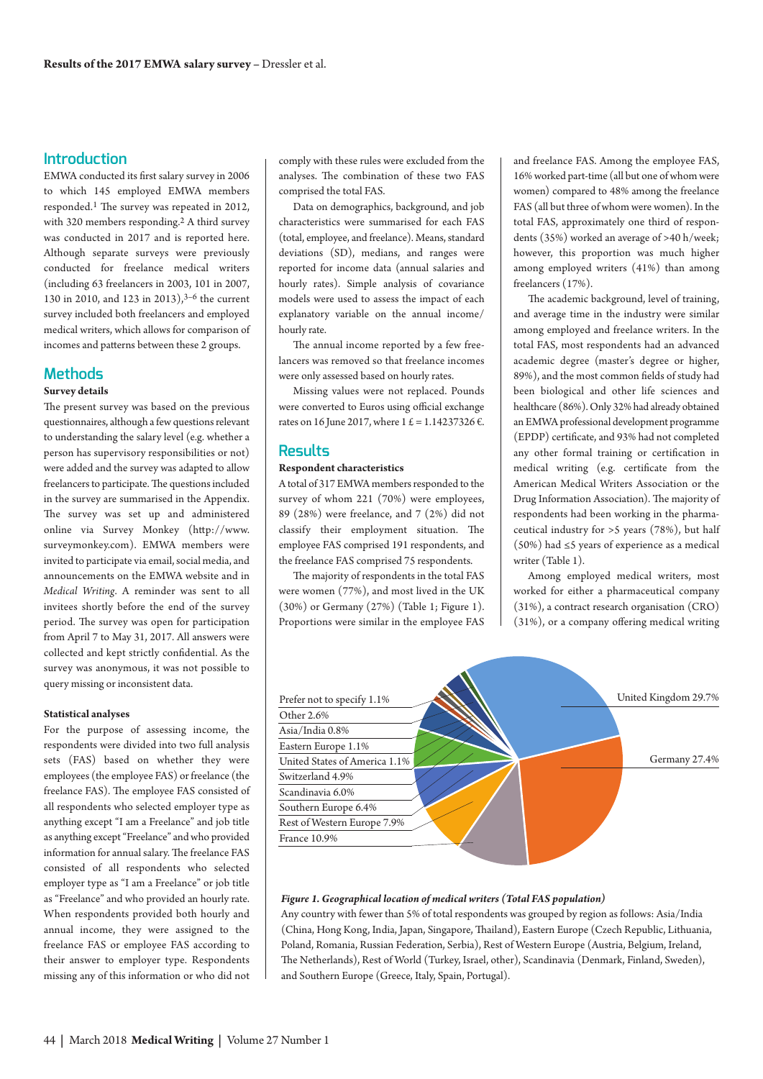# **Introduction**

EMWA conducted its first salary survey in 2006 to which 145 employed EMWA members responded. 1 The survey was repeated in 2012, with 320 members responding. 2 A third survey was conducted in 2017 and is reported here. Although separate surveys were previously conducted for freelance medical writers (including 63 freelancers in 2003, 101 in 2007, 130 in 2010, and 123 in 2013), 3–6 the current survey included both freelancers and employed medical writers, which allows for comparison of incomes and patterns between these 2 groups.

## **Methods**

#### **Survey details**

The present survey was based on the previous questionnaires, although a few questions relevant to understanding the salary level (e.g. whether a person has supervisory responsibilities or not) were added and the survey was adapted to allow freelancers to participate. The questions included in the survey are summarised in the Appendix. The survey was set up and administered online via Survey Monkey [\(http://www.](http://www.surveymonkey.com/) [surveymonkey.com\)](http://www.surveymonkey.com/). EMWA members were invited to participate via email, social media, and announcements on the EMWA website and in *Medical Writing*. A reminder was sent to all invitees shortly before the end of the survey period. The survey was open for participation from April 7 to May 31, 2017. All answers were collected and kept strictly confidential. As the survey was anonymous, it was not possible to query missing or inconsistent data.

#### **Statistical analyses**

For the purpose of assessing income, the respondents were divided into two full analysis sets (FAS) based on whether they were employees (the employee FAS) or freelance (the freelance FAS). The employee FAS consisted of all respondents who selected employer type as anything except "I am a Freelance" and job title as anything except"Freelance" andwho provided information for annual salary. The freelance FAS consisted of all respondents who selected employer type as "I am a Freelance" or job title as "Freelance" and who provided an hourly rate. When respondents provided both hourly and annual income, they were assigned to the freelance FAS or employee FAS according to their answer to employer type. Respondents missing any of this information or who did not comply with these rules were excluded from the analyses. The combination of these two FAS comprised the total FAS.

Data on demographics, background, and job characteristics were summarised for each FAS (total, employee, and freelance). Means, standard deviations (SD), medians, and ranges were reported for income data (annual salaries and hourly rates). Simple analysis of covariance models were used to assess the impact of each explanatory variable on the annual income/ hourly rate.

The annual income reported by a few freelancers was removed so that freelance incomes were only assessed based on hourly rates.

Missing values were not replaced. Pounds were converted to Euros using official exchange rates on 16 June 2017, where 1 £ = 1.14237326 €.

## **Results**

## **Respondent characteristics**

A total of 317 EMWA members responded to the survey of whom 221 (70%) were employees, 89 (28%) were freelance, and 7 (2%) did not classify their employment situation. The employee FAS comprised 191 respondents, and the freelance FAS comprised 75 respondents.

The majority of respondents in the total FAS were women (77%), and most lived in the UK (30%) or Germany (27%) (Table 1; Figure 1). Proportions were similar in the employee FAS and freelance FAS. Among the employee FAS, 16%worked part-time (all but one ofwhom were women) compared to 48% among the freelance FAS (all but three of whom were women). In the total FAS, approximately one third of respondents (35%) worked an average of >40 h/week; however, this proportion was much higher among employed writers (41%) than among freelancers (17%).

The academic background, level of training, and average time in the industry were similar among employed and freelance writers. In the total FAS, most respondents had an advanced academic degree (master's degree or higher, 89%), and the most common fields of study had been biological and other life sciences and healthcare (86%). Only 32% had already obtained an EMWAprofessional development programme (EPDP) certificate, and 93% had not completed any other formal training or certification in medical writing (e.g. certificate from the American Medical Writers Association or the Drug Information Association). The majority of respondents had been working in the pharmaceutical industry for >5 years (78%), but half (50%) had ≤5 years of experience as a medical writer (Table 1).

Among employed medical writers, most worked for either a pharmaceutical company (31%), a contract research organisation (CRO) (31%), or a company offering medical writing



#### *Figure 1. Geographical location of medical writers (Total FAS population)*

Any country with fewer than 5% of total respondents was grouped by region as follows: Asia/India (China, Hong Kong, India, Japan, Singapore, Thailand), Eastern Europe (Czech Republic, Lithuania, Poland, Romania, Russian Federation, Serbia), Rest of Western Europe (Austria, Belgium, Ireland, The Netherlands), Rest of World (Turkey, Israel, other), Scandinavia (Denmark, Finland, Sweden), and Southern Europe (Greece, Italy, Spain, Portugal).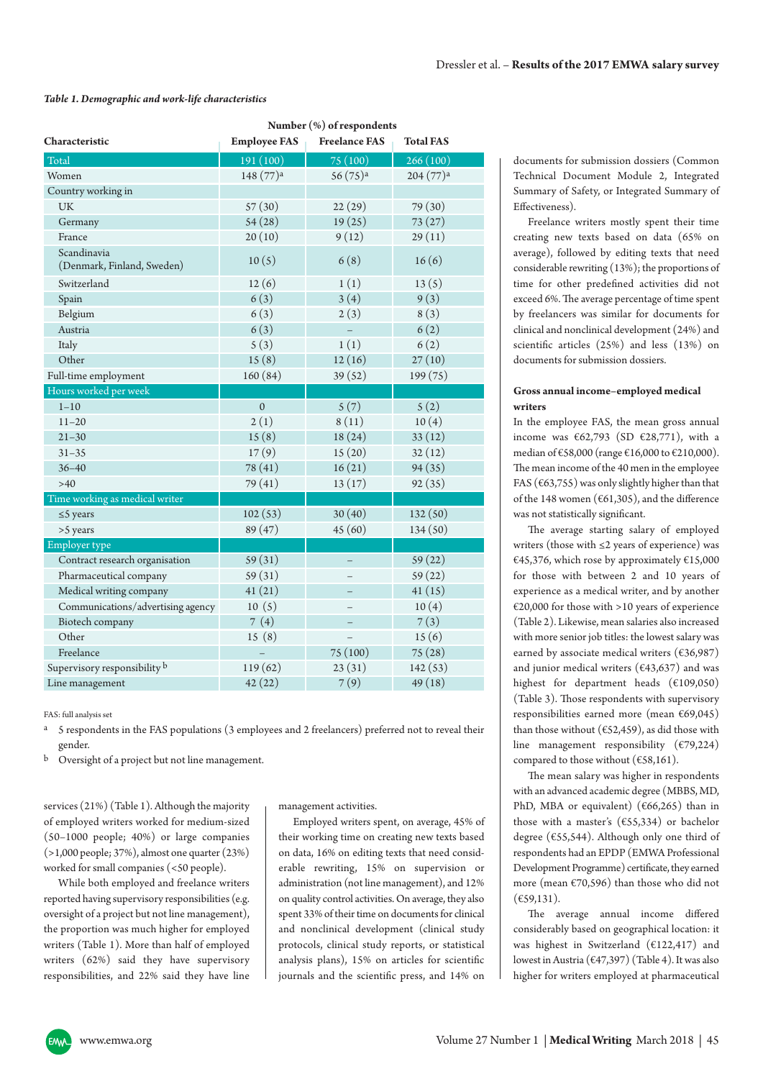#### *Table 1. Demographic and work-life characteristics*

|                                           | Number (%) of respondents |                          |                      |  |  |  |
|-------------------------------------------|---------------------------|--------------------------|----------------------|--|--|--|
| Characteristic                            | <b>Employee FAS</b>       | <b>Freelance FAS</b>     | <b>Total FAS</b>     |  |  |  |
| Total                                     | 191 (100)                 | 75 (100)                 | 266(100)             |  |  |  |
| Women                                     | 148 (77) <sup>a</sup>     | $56(75)$ <sup>a</sup>    | 204(77) <sup>a</sup> |  |  |  |
| Country working in                        |                           |                          |                      |  |  |  |
| <b>UK</b>                                 | 57(30)                    | 22(29)                   | 79 (30)              |  |  |  |
| Germany                                   | 54(28)                    | 19(25)                   | 73(27)               |  |  |  |
| France                                    | 20(10)                    | 9(12)                    | 29(11)               |  |  |  |
| Scandinavia<br>(Denmark, Finland, Sweden) | 10(5)                     | 6(8)                     | 16(6)                |  |  |  |
| Switzerland                               | 12(6)                     | 1(1)                     | 13(5)                |  |  |  |
| Spain                                     | 6(3)                      | 3(4)                     | 9(3)                 |  |  |  |
| Belgium                                   | 6(3)                      | 2(3)                     | 8(3)                 |  |  |  |
| Austria                                   | 6(3)                      | $\equiv$                 | 6(2)                 |  |  |  |
| Italy                                     | 5(3)                      | 1(1)                     | 6(2)                 |  |  |  |
| Other                                     | 15(8)                     | 12(16)                   | 27(10)               |  |  |  |
| Full-time employment                      | 160(84)                   | 39(52)                   | 199 (75)             |  |  |  |
| Hours worked per week                     |                           |                          |                      |  |  |  |
| $1 - 10$                                  | $\Omega$                  | 5(7)                     | 5(2)                 |  |  |  |
| $11 - 20$                                 | 2(1)                      | 8(11)                    | 10(4)                |  |  |  |
| $21 - 30$                                 | 15(8)                     | 18(24)                   | 33(12)               |  |  |  |
| $31 - 35$                                 | 17(9)                     | 15(20)                   | 32(12)               |  |  |  |
| $36 - 40$                                 | 78 (41)                   | 16(21)                   | 94(35)               |  |  |  |
| >40                                       | 79 (41)                   | 13(17)                   | 92(35)               |  |  |  |
| Time working as medical writer            |                           |                          |                      |  |  |  |
| $\leq$ 5 years                            | 102(53)                   | 30(40)                   | 132(50)              |  |  |  |
| >5 years                                  | 89(47)                    | 45(60)                   | 134(50)              |  |  |  |
| Employer type                             |                           |                          |                      |  |  |  |
| Contract research organisation            | 59(31)                    |                          | 59(22)               |  |  |  |
| Pharmaceutical company                    | 59(31)                    |                          | 59(22)               |  |  |  |
| Medical writing company                   | 41(21)                    |                          | 41(15)               |  |  |  |
| Communications/advertising agency         | 10(5)                     |                          | 10(4)                |  |  |  |
| Biotech company                           | 7(4)                      | $\overline{\phantom{0}}$ | 7(3)                 |  |  |  |
| Other                                     | 15(8)                     | $\overline{\phantom{0}}$ | 15(6)                |  |  |  |
| Freelance                                 | $\overline{\phantom{0}}$  | 75 (100)                 | 75(28)               |  |  |  |
| Supervisory responsibility b              | 119(62)                   | 23(31)                   | 142(53)              |  |  |  |
| Line management                           | 42(22)                    | 7(9)                     | 49(18)               |  |  |  |

FAS: full analysis set

<sup>a</sup> 5 respondents in the FAS populations (3 employees and 2 freelancers) preferred not to reveal their gender.

Oversight of a project but not line management.

services (21%) (Table 1). Although the majority of employed writers worked for medium-sized (50–1000 people; 40%) or large companies (>1,000 people; 37%), almost one quarter (23%) worked for small companies (<50 people).

While both employed and freelance writers reported having supervisory responsibilities (e.g. oversight of a project but not line management), the proportion was much higher for employed writers (Table 1). More than half of employed writers (62%) said they have supervisory responsibilities, and 22% said they have line

management activities.

Employed writers spent, on average, 45% of their working time on creating new texts based on data, 16% on editing texts that need considerable rewriting, 15% on supervision or administration (not line management), and 12% on quality control activities. On average, they also spent 33% of their time on documents for clinical and nonclinical development (clinical study protocols, clinical study reports, or statistical analysis plans), 15% on articles for scientific journals and the scientific press, and 14% on

documents for submission dossiers (Common Technical Document Module 2, Integrated Summary of Safety, or Integrated Summary of Effectiveness).

Freelance writers mostly spent their time creating new texts based on data (65% on average), followed by editing texts that need considerable rewriting (13%); the proportions of time for other predefined activities did not exceed 6%. The average percentage of time spent by freelancers was similar for documents for clinical and nonclinical development (24%) and scientific articles (25%) and less (13%) on documents for submission dossiers.

## **Gross annual income–employed medical writers**

In the employee FAS, the mean gross annual income was  $\epsilon$ 62,793 (SD  $\epsilon$ 28,771), with a median of €58,000 (range €16,000 to €210,000). The mean income of the 40 men in the employee FAS ( $\epsilon$ 63,755) was only slightly higher than that of the 148 women (€61,305), and the difference was not statistically significant.

The average starting salary of employed writers (those with ≤2 years of experience) was €45,376, which rose by approximately  $€15,000$ for those with between 2 and 10 years of experience as a medical writer, and by another €20,000 for those with >10 years of experience (Table 2). Likewise, mean salaries also increased with more senior job titles: the lowest salary was earned by associate medical writers ( $€36,987)$ and junior medical writers ( $\epsilon$ 43,637) and was highest for department heads ( $€109,050$ ) (Table 3). Those respondents with supervisory responsibilities earned more (mean €69,045) than those without ( $€52,459$ ), as did those with line management responsibility (€79,224) compared to those without ( $€58,161$ ).

The mean salary was higher in respondents with an advanced academic degree (MBBS, MD, PhD, MBA or equivalent) ( $\epsilon$ 66,265) than in those with a master's (€55,334) or bachelor degree (€55,544). Although only one third of respondents had an EPDP (EMWA Professional Development Programme) certificate, they earned more (mean €70,596) than those who did not (€59,131).

The average annual income differed considerably based on geographical location: it was highest in Switzerland (€122,417) and lowest in Austria (€47,397) (Table 4). It was also higher for writers employed at pharmaceutical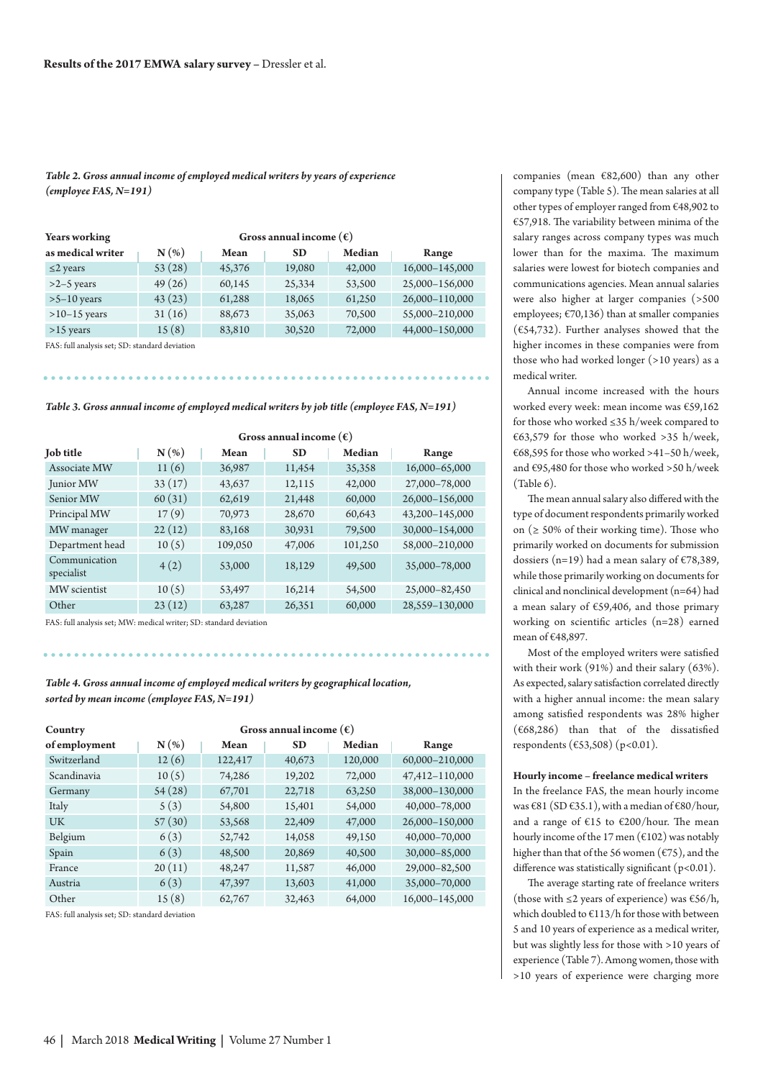*Table 2. Gross annual income of employed medical writers by years of experience (employee FAS, N=191)*

| <b>Years working</b> | Gross annual income $(\epsilon)$ |        |           |               |                |
|----------------------|----------------------------------|--------|-----------|---------------|----------------|
| as medical writer    | $N(\%)$                          | Mean   | <b>SD</b> | <b>Median</b> | Range          |
| $\leq$ 2 years       | 53(28)                           | 45,376 | 19,080    | 42,000        | 16,000-145,000 |
| $>2-5$ years         | 49(26)                           | 60,145 | 25,334    | 53,500        | 25,000-156,000 |
| $>5-10$ years        | 43(23)                           | 61,288 | 18,065    | 61,250        | 26,000-110,000 |
| $>10-15$ years       | 31(16)                           | 88,673 | 35,063    | 70,500        | 55,000-210,000 |
| $>15$ years          | 15(8)                            | 83,810 | 30,520    | 72,000        | 44,000-150,000 |

FAS: full analysis set; SD: standard deviation

*Table 3. Gross annual income of employed medical writers by job title (employee FAS, N=191)*

|                             | Gross annual income $(\epsilon)$ |         |           |         |                |
|-----------------------------|----------------------------------|---------|-----------|---------|----------------|
| <b>Job title</b>            | $N(\%)$                          | Mean    | <b>SD</b> | Median  | Range          |
| Associate MW                | 11(6)                            | 36,987  | 11,454    | 35,358  | 16,000-65,000  |
| Junior MW                   | 33(17)                           | 43,637  | 12,115    | 42,000  | 27,000-78,000  |
| Senior MW                   | 60(31)                           | 62,619  | 21,448    | 60,000  | 26,000-156,000 |
| Principal MW                | 17(9)                            | 70,973  | 28,670    | 60,643  | 43,200-145,000 |
| MW manager                  | 22(12)                           | 83,168  | 30,931    | 79,500  | 30,000-154,000 |
| Department head             | 10(5)                            | 109,050 | 47,006    | 101,250 | 58,000-210,000 |
| Communication<br>specialist | 4(2)                             | 53,000  | 18,129    | 49,500  | 35,000-78,000  |
| MW scientist                | 10(5)                            | 53,497  | 16,214    | 54,500  | 25,000-82,450  |
| Other                       | 23(12)                           | 63,287  | 26,351    | 60,000  | 28,559-130,000 |

FAS: full analysis set; MW: medical writer; SD: standard deviation

*Table 4. Gross annual income of employed medical writers by geographical location, sorted by mean income (employee FAS, N=191)*

. . . . . . . . . .

| Country       | Gross annual income $(\epsilon)$ |         |           |               |                |
|---------------|----------------------------------|---------|-----------|---------------|----------------|
| of employment | $N(\%)$                          | Mean    | <b>SD</b> | <b>Median</b> | Range          |
| Switzerland   | 12(6)                            | 122,417 | 40,673    | 120,000       | 60,000-210,000 |
| Scandinavia   | 10(5)                            | 74,286  | 19,202    | 72,000        | 47,412-110,000 |
| Germany       | 54(28)                           | 67,701  | 22,718    | 63,250        | 38,000-130,000 |
| Italy         | 5(3)                             | 54,800  | 15,401    | 54,000        | 40,000-78,000  |
| <b>UK</b>     | 57(30)                           | 53,568  | 22,409    | 47,000        | 26,000-150,000 |
| Belgium       | 6(3)                             | 52,742  | 14,058    | 49,150        | 40,000-70,000  |
| Spain         | 6(3)                             | 48,500  | 20,869    | 40,500        | 30,000-85,000  |
| France        | 20(11)                           | 48,247  | 11,587    | 46,000        | 29,000-82,500  |
| Austria       | 6(3)                             | 47,397  | 13,603    | 41,000        | 35,000-70,000  |
| Other         | 15(8)                            | 62,767  | 32,463    | 64,000        | 16.000-145.000 |

FAS: full analysis set; SD: standard deviation

companies (mean €82,600) than any other company type (Table 5). The mean salaries at all other types of employer ranged from €48,902 to €57,918. The variability between minima of the salary ranges across company types was much lower than for the maxima. The maximum salaries were lowest for biotech companies and communications agencies. Mean annual salaries were also higher at larger companies (>500 employees; €70,136) than at smaller companies ( $€54,732$ ). Further analyses showed that the higher incomes in these companies were from those who had worked longer (>10 years) as a medical writer.

Annual income increased with the hours worked every week: mean income was €59,162 for those who worked ≤35 h/week compared to €63,579 for those who worked >35 h/week, €68,595 for those who worked >41-50 h/week, and €95,480 for those who worked >50 h/week (Table 6).

The mean annual salary also differed with the type of document respondents primarily worked on ( $\geq$  50% of their working time). Those who primarily worked on documents for submission dossiers (n=19) had a mean salary of  $\epsilon$ 78,389, while those primarily working on documents for clinical and nonclinical development (n=64) had a mean salary of €59,406, and those primary working on scientific articles (n=28) earned mean of €48,897.

Most of the employed writers were satisfied with their work (91%) and their salary (63%). As expected, salary satisfaction correlated directly with a higher annual income: the mean salary among satisfied respondents was 28% higher (€68,286) than that of the dissatisfied respondents (€53,508) (p<0.01).

#### **Hourly income – freelance medical writers**

In the freelance FAS, the mean hourly income was  $€81$  (SD  $€35.1$ ), with a median of  $€80/h$ our, and a range of €15 to €200/hour. The mean hourly income of the 17 men ( $\epsilon$ 102) was notably higher than that of the 56 women ( $\epsilon$ 75), and the difference was statistically significant (p<0.01).

The average starting rate of freelance writers (those with  $\leq$ 2 years of experience) was  $\epsilon$ 56/h, which doubled to €113/h for those with between 5 and 10 years of experience as a medical writer, but was slightly less for those with >10 years of experience (Table 7). Among women, those with >10 years of experience were charging more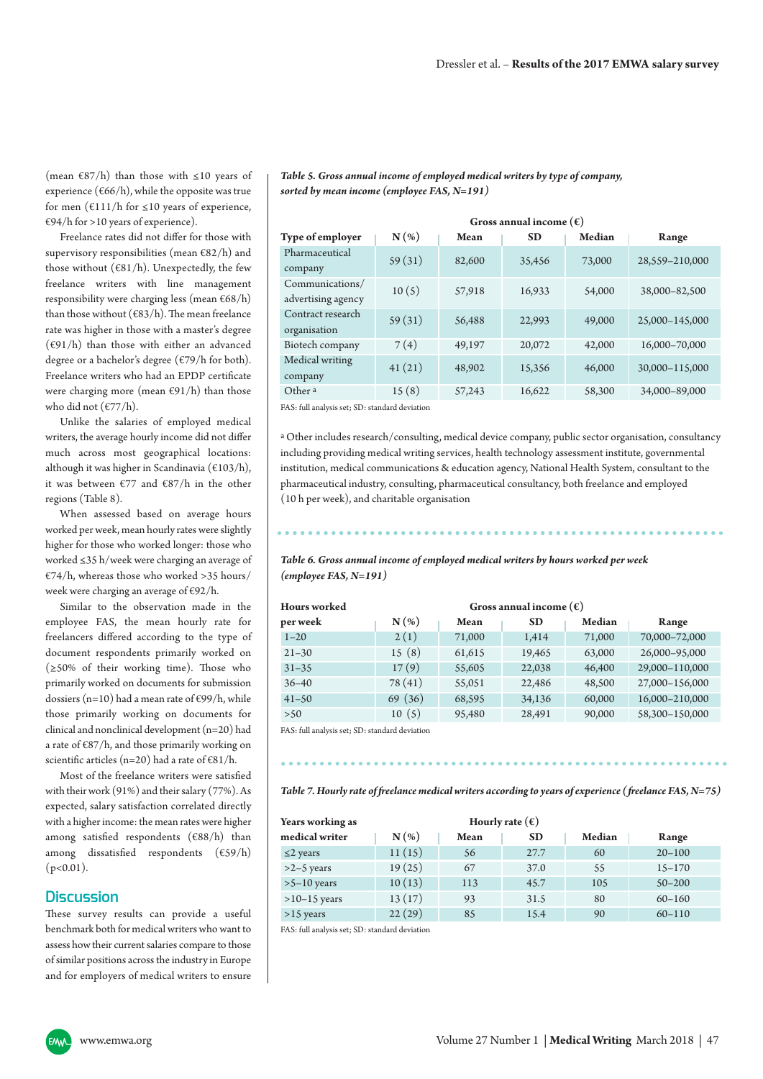(mean  $\epsilon$ 87/h) than those with ≤10 years of experience ( $\epsilon$ 66/h), while the opposite was true for men ( $€111/h$  for  $≤10$  years of experience,  $E$ 694/h for >10 years of experience).

Freelance rates did not differ for those with supervisory responsibilities (mean  $\epsilon$ 82/h) and those without ( $\epsilon$ 81/h). Unexpectedly, the few freelance writers with line management responsibility were charging less (mean €68/h) than those without ( $\epsilon$ 83/h). The mean freelance rate was higher in those with a master's degree  $(\epsilon 91/h)$  than those with either an advanced degree or a bachelor's degree (€79/h for both). Freelance writers who had an EPDP certificate were charging more (mean  $E91/h$ ) than those who did not  $(\frac{\varepsilon}{77/h})$ .

Unlike the salaries of employed medical writers, the average hourly income did not differ much across most geographical locations: although it was higher in Scandinavia (€103/h), it was between €77 and €87/h in the other regions (Table 8).

When assessed based on average hours worked per week, mean hourly rates were slightly higher for those who worked longer: those who worked ≤35 h/week were charging an average of  $E$ 74/h, whereas those who worked >35 hours/ week were charging an average of €92/h.

Similar to the observation made in the employee FAS, the mean hourly rate for freelancers differed according to the type of document respondents primarily worked on (≥50% of their working time). Those who primarily worked on documents for submission dossiers (n=10) had a mean rate of  $\epsilon$ 99/h, while those primarily working on documents for clinical and nonclinical development (n=20) had a rate of  $\frac{687}{h}$ , and those primarily working on scientific articles (n=20) had a rate of  $E81/h$ .

Most of the freelance writers were satisfied with their work (91%) and their salary (77%). As expected, salary satisfaction correlated directly with a higher income: the mean rates were higher among satisfied respondents (€88/h) than among dissatisfied respondents (€59/h)  $(p<0.01)$ .

#### **Discussion**

These survey results can provide a useful benchmark both for medical writers who want to assess how their current salaries compare to those of similar positions across the industry in Europe and for employers of medical writers to ensure

**Gross annual income (€) Type of employer**  $N$  (%) Mean SD Median Range Pharmaceutical company 59 (31) 82,600 35,456 73,000 28,559–210,000 Communications/ communications/<br>advertising agency 10 (5) 57,918 16,933 54,000 38,000–82,500 Contract research organisation 59 (31) 56,488 22,993 49,000 25,000–145,000 Biotech company 7 (4) 49,197 20,072 42,000 16,000–70,000 Medical writing company 41 (21) 48,902 15,356 46,000 30,000–115,000 Other <sup>a</sup> 15 (8) 57,243 16,622 58,300 34,000–89,000

*Table 5. Gross annual income of employed medical writers by type of company, sorted by mean income (employee FAS, N=191)*

FAS: full analysis set; SD: standard deviation

a Other includes research/consulting, medical device company, public sector organisation, consultancy including providing medical writing services, health technology assessment institute, governmental institution, medical communications & education agency, National Health System, consultant to the pharmaceutical industry, consulting, pharmaceutical consultancy, both freelance and employed (10 h per week), and charitable organisation

*Table 6. Gross annual income of employed medical writers by hours worked per week (employee FAS, N=191)*

| <b>Hours</b> worked | Gross annual income $(\epsilon)$ |        |           |        |                |
|---------------------|----------------------------------|--------|-----------|--------|----------------|
| per week            | $N(\%)$                          | Mean   | <b>SD</b> | Median | Range          |
| $1 - 20$            | 2(1)                             | 71,000 | 1,414     | 71,000 | 70,000-72,000  |
| $21 - 30$           | 15(8)                            | 61,615 | 19,465    | 63,000 | 26,000-95,000  |
| $31 - 35$           | 17(9)                            | 55,605 | 22,038    | 46,400 | 29,000-110,000 |
| $36 - 40$           | 78(41)                           | 55,051 | 22,486    | 48,500 | 27,000-156,000 |
| $41 - 50$           | 69(36)                           | 68,595 | 34,136    | 60,000 | 16,000-210,000 |
| >50                 | 10(5)                            | 95,480 | 28,491    | 90,000 | 58,300-150,000 |

FAS: full analysis set; SD: standard deviation

*Table 7. Hourly rate of freelance medical writers according to years of experience (freelance FAS, N=75)*

| Years working as | Hourly rate $(\epsilon)$ |      |           |               |            |
|------------------|--------------------------|------|-----------|---------------|------------|
| medical writer   | $N(\%)$                  | Mean | <b>SD</b> | <b>Median</b> | Range      |
| $\leq$ 2 years   | 11(15)                   | 56   | 27.7      | 60            | $20 - 100$ |
| $>2-5$ years     | 19(25)                   | 67   | 37.0      | 55            | $15 - 170$ |
| $>5-10$ years    | 10(13)                   | 113  | 45.7      | 105           | $50 - 200$ |
| $>10-15$ years   | 13(17)                   | 93   | 31.5      | 80            | $60 - 160$ |
| $>15$ years      | 22(29)                   | 85   | 15.4      | 90            | $60 - 110$ |

FAS: full analysis set; SD: standard deviation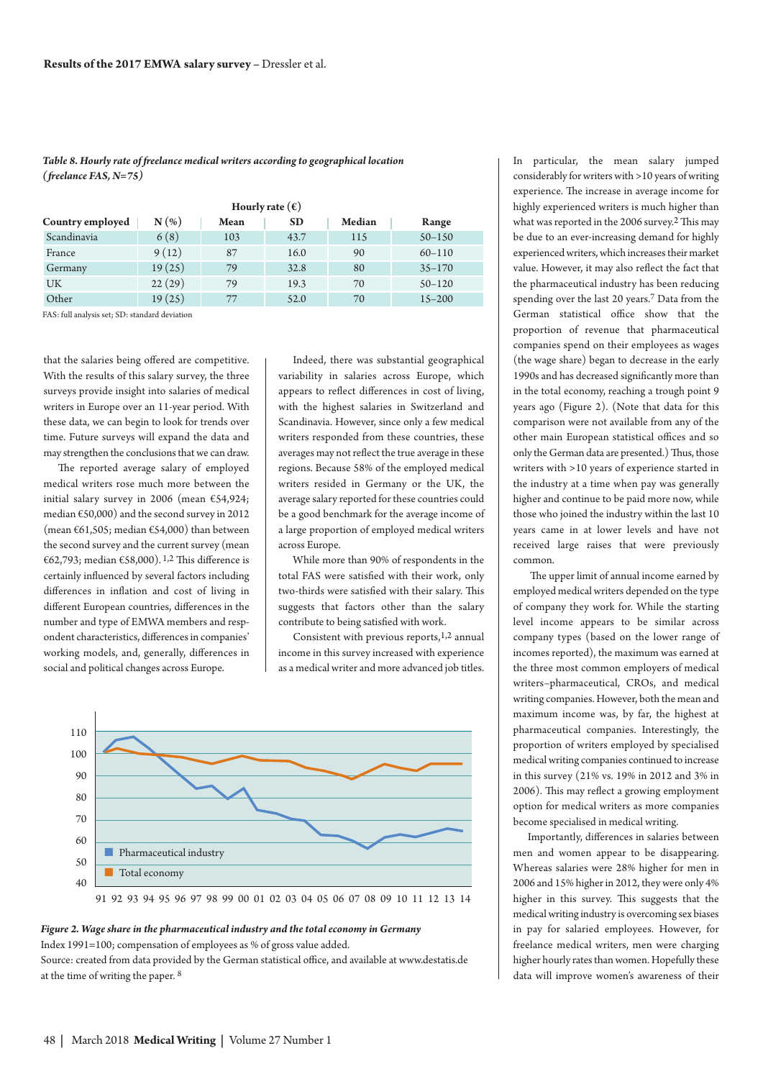*Table 8. Hourly rate of freelance medical writers according to geographical location (freelance FAS, N=75)*

| Hourly rate $(\epsilon)$                                               |        |     |      |     |            |  |  |
|------------------------------------------------------------------------|--------|-----|------|-----|------------|--|--|
| N(%<br><b>SD</b><br>Median<br>Country employed<br><b>Mean</b><br>Range |        |     |      |     |            |  |  |
| Scandinavia                                                            | 6(8)   | 103 | 43.7 | 115 | $50 - 150$ |  |  |
| France                                                                 | 9(12)  | 87  | 16.0 | 90  | $60 - 110$ |  |  |
| Germany                                                                | 19(25) | 79  | 32.8 | 80  | $35 - 170$ |  |  |
| UK                                                                     | 22(29) | 79  | 19.3 | 70  | $50 - 120$ |  |  |
| Other                                                                  | 19(25) | 77  | 52.0 | 70  | $15 - 200$ |  |  |

FAS: full analysis set; SD: standard deviation

that the salaries being offered are competitive. With the results of this salary survey, the three surveys provide insight into salaries of medical writers in Europe over an 11-year period. With these data, we can begin to look for trends over time. Future surveys will expand the data and may strengthen the conclusions that we can draw.

The reported average salary of employed medical writers rose much more between the initial salary survey in 2006 (mean €54,924; median €50,000) and the second survey in 2012 (mean  $\epsilon$ 61,505; median  $\epsilon$ 54,000) than between the second survey and the current survey (mean €62,793; median €58,000).<sup>1,2</sup> This difference is certainly influenced by several factors including differences in inflation and cost of living in different European countries, differences in the number and type of EMWA members and respondent characteristics, differences in companies' working models, and, generally, differences in social and political changes across Europe.

Indeed, there was substantial geographical variability in salaries across Europe, which appears to reflect differences in cost of living, with the highest salaries in Switzerland and Scandinavia. However, since only a few medical writers responded from these countries, these averages may not reflect the true average in these regions. Because 58% of the employed medical writers resided in Germany or the UK, the average salary reported for these countries could be a good benchmark for the average income of a large proportion of employed medical writers across Europe.

While more than 90% of respondents in the total FAS were satisfied with their work, only two-thirds were satisfied with their salary. This suggests that factors other than the salary contribute to being satisfied with work.

Consistent with previous reports,<sup>1,2</sup> annual income in this survey increased with experience as a medical writer and more advanced job titles.



# *Figure 2. Wage share in the pharmaceutical industry and the total economy in Germany*

Index 1991=100; compensation of employees as % of gross value added.

Source: created from data provided by the German statistical office, and available at www.destatis.de at the time of writing the paper. 8

In particular, the mean salary jumped considerably for writers with >10 years of writing experience. The increase in average income for highly experienced writers is much higher than what was reported in the 2006 survey.<sup>2</sup> This may be due to an ever-increasing demand for highly experienced writers, which increases their market value. However, it may also reflect the fact that the pharmaceutical industry has been reducing spending over the last 20 years.7 Data from the German statistical office show that the proportion of revenue that pharmaceutical companies spend on their employees as wages (the wage share) began to decrease in the early 1990s and has decreased significantly more than in the total economy, reaching a trough point 9 years ago (Figure 2). (Note that data for this comparison were not available from any of the other main European statistical offices and so only the German data are presented.) Thus, those writers with >10 years of experience started in the industry at a time when pay was generally higher and continue to be paid more now, while those who joined the industry within the last 10 years came in at lower levels and have not received large raises that were previously common.

The upper limit of annual income earned by employed medical writers depended on the type of company they work for. While the starting level income appears to be similar across company types (based on the lower range of incomes reported), the maximum was earned at the three most common employers of medical writers–pharmaceutical, CROs, and medical writing companies. However, both the mean and maximum income was, by far, the highest at pharmaceutical companies. Interestingly, the proportion of writers employed by specialised medical writing companies continued to increase in this survey (21% vs. 19% in 2012 and 3% in 2006). This may reflect a growing employment option for medical writers as more companies become specialised in medical writing.

Importantly, differences in salaries between men and women appear to be disappearing. Whereas salaries were 28% higher for men in 2006 and 15% higher in 2012, they were only 4% higher in this survey. This suggests that the medical writing industry is overcoming sex biases in pay for salaried employees. However, for freelance medical writers, men were charging higher hourly rates than women. Hopefully these data will improve women's awareness of their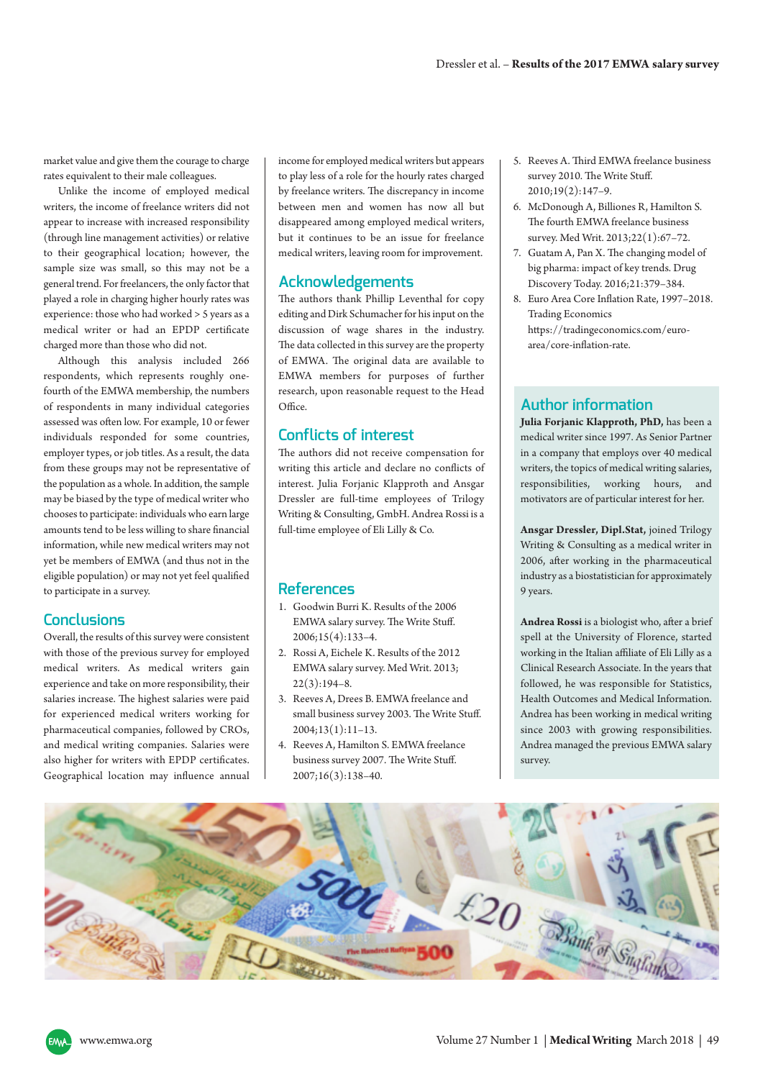market value and give them the courage to charge rates equivalent to their male colleagues.

Unlike the income of employed medical writers, the income of freelance writers did not appear to increase with increased responsibility (through line management activities) or relative to their geographical location; however, the sample size was small, so this may not be a general trend. For freelancers, the only factor that played a role in charging higher hourly rates was experience: those who had worked > 5 years as a medical writer or had an EPDP certificate charged more than those who did not.

Although this analysis included 266 respondents, which represents roughly onefourth of the EMWA membership, the numbers of respondents in many individual categories assessed was often low. For example, 10 or fewer individuals responded for some countries, employer types, or job titles. As a result, the data from these groups may not be representative of the population as awhole.In addition, the sample may be biased by the type of medical writer who choosesto participate: individualswho earn large amounts tend to be less willing to share financial information, while new medical writers may not yet be members of EMWA (and thus not in the eligible population) or may not yet feel qualified to participate in a survey.

# **Conclusions**

Overall, the results of this survey were consistent with those of the previous survey for employed medical writers. As medical writers gain experience and take on more responsibility, their salaries increase. The highest salaries were paid for experienced medical writers working for pharmaceutical companies, followed by CROs, and medical writing companies. Salaries were also higher for writers with EPDP certificates. Geographical location may influence annual income for employed medical writers but appears to play less of a role for the hourly rates charged by freelance writers. The discrepancy in income between men and women has now all but disappeared among employed medical writers, but it continues to be an issue for freelance medical writers, leaving room for improvement.

# **Acknowledgements**

The authors thank Phillip Leventhal for copy editing and Dirk Schumacher for his input on the discussion of wage shares in the industry. The data collected in this survey are the property of EMWA. The original data are available to EMWA members for purposes of further research, upon reasonable request to the Head Office.

# **Conflicts of interest**

The authors did not receive compensation for writing this article and declare no conflicts of interest. Julia Forjanic Klapproth and Ansgar Dressler are full-time employees of Trilogy Writing & Consulting, GmbH. Andrea Rossi is a full-time employee of Eli Lilly & Co.

# **References**

- 1. Goodwin Burri K. Results of the 2006 EMWA salary survey. The Write Stuff. 2006;15(4):133–4.
- 2. Rossi A, Eichele K. Results of the 2012 EMWA salary survey. Med Writ. 2013;  $22(3):194-8.$
- 3. Reeves A, Drees B. EMWA freelance and small business survey 2003. The Write Stuff. 2004;13(1):11–13.
- 4. Reeves A, Hamilton S. EMWA freelance business survey 2007. The Write Stuff. 2007;16(3):138–40.
- 5. Reeves A. Third EMWA freelance business survey 2010. The Write Stuff. 2010;19(2):147–9.
- 6. McDonough A, Billiones R, Hamilton S. The fourth EMWA freelance business survey. Med Writ. 2013;22(1):67–72.
- 7. Guatam A, Pan X. The changing model of big pharma: impact of key trends. Drug Discovery Today. 2016;21:379–384.
- 8. Euro Area Core Inflation Rate, 1997–2018. Trading Economics [https://tradingeconomics.com/euro](https://tradingeconomics.com/euro-area/core-inflation-rate)[area/core-inflation-rate.](https://tradingeconomics.com/euro-area/core-inflation-rate)

# **Author information**

**Julia Forjanic Klapproth, PhD,** has been a medical writer since 1997. As Senior Partner in a company that employs over 40 medical writers, the topics of medical writing salaries, responsibilities, working hours, and motivators are of particular interest for her.

**Ansgar Dressler, Dipl.Stat,** joined Trilogy Writing & Consulting as a medical writer in 2006, after working in the pharmaceutical industry as a biostatistician for approximately 9 years.

**Andrea Rossi** is a biologist who, after a brief spell at the University of Florence, started working in the Italian affiliate of Eli Lilly as a Clinical Research Associate. In the years that followed, he was responsible for Statistics, Health Outcomes and Medical Information. Andrea has been working in medical writing since 2003 with growing responsibilities. Andrea managed the previous EMWA salary survey.